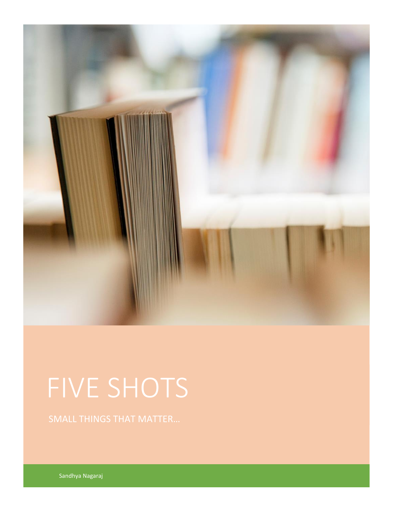

# FIVE SHOTS

Sandhya Nagaraj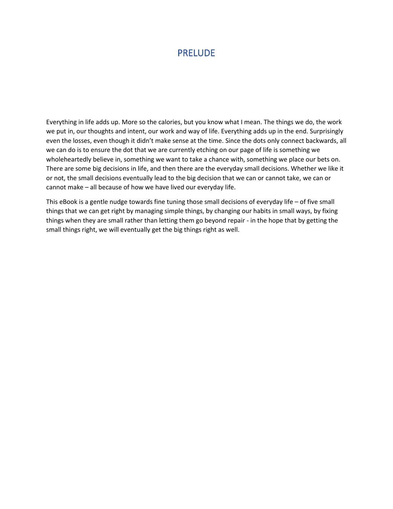## PRELUDE

Everything in life adds up. More so the calories, but you know what I mean. The things we do, the work we put in, our thoughts and intent, our work and way of life. Everything adds up in the end. Surprisingly even the losses, even though it didn't make sense at the time. Since the dots only connect backwards, all we can do is to ensure the dot that we are currently etching on our page of life is something we wholeheartedly believe in, something we want to take a chance with, something we place our bets on. There are some big decisions in life, and then there are the everyday small decisions. Whether we like it or not, the small decisions eventually lead to the big decision that we can or cannot take, we can or cannot make – all because of how we have lived our everyday life.

This eBook is a gentle nudge towards fine tuning those small decisions of everyday life – of five small things that we can get right by managing simple things, by changing our habits in small ways, by fixing things when they are small rather than letting them go beyond repair - in the hope that by getting the small things right, we will eventually get the big things right as well.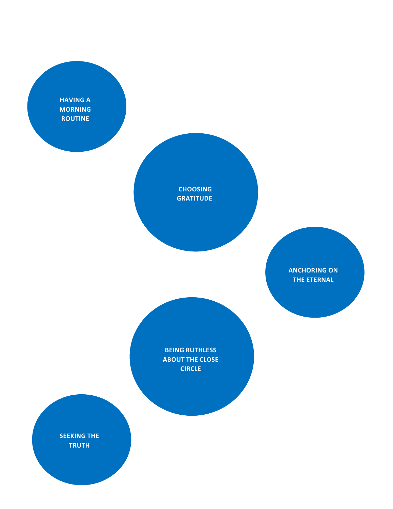**HAVING A MORNING ROUTINE**

> **CHOOSING GRATITUDE**

> > **ANCHORING ON THE ETERNAL**

**BEING RUTHLESS ABOUT THE CLOSE CIRCLE**

**SEEKING THE TRUTH**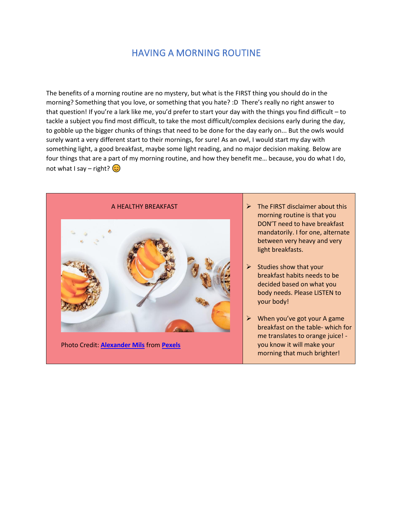## HAVING A MORNING ROUTINE

The benefits of a morning routine are no mystery, but what is the FIRST thing you should do in the morning? Something that you love, or something that you hate? :D There's really no right answer to that question! If you're a lark like me, you'd prefer to start your day with the things you find difficult – to tackle a subject you find most difficult, to take the most difficult/complex decisions early during the day, to gobble up the bigger chunks of things that need to be done for the day early on... But the owls would surely want a very different start to their mornings, for sure! As an owl, I would start my day with something light, a good breakfast, maybe some light reading, and no major decision making. Below are four things that are a part of my morning routine, and how they benefit me… because, you do what I do, not what I say – right?  $\circled{c}$ 



Photo Credit: **[Alexander Mils](https://www.pexels.com/@alexandermils?utm_content=attributionCopyText&utm_medium=referral&utm_source=pexels)** from **[Pexels](https://www.pexels.com/photo/cooed-food-2103949/?utm_content=attributionCopyText&utm_medium=referral&utm_source=pexels)**

- $\triangleright$  The FIRST disclaimer about this morning routine is that you DON'T need to have breakfast mandatorily. I for one, alternate between very heavy and very light breakfasts.
- $\triangleright$  Studies show that your breakfast habits needs to be decided based on what you body needs. Please LISTEN to your body!
- ➢ When you've got your A game breakfast on the table- which for me translates to orange juice! you know it will make your morning that much brighter!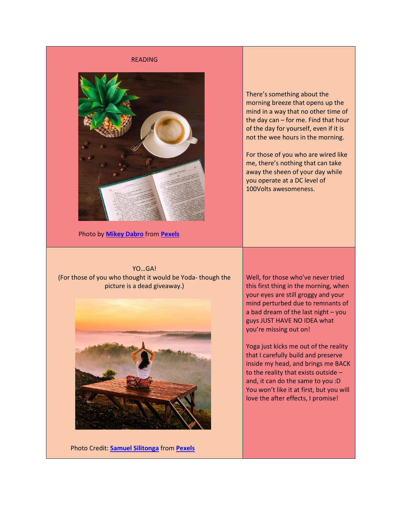#### READING



Photo by **[Mikey Dabro](https://www.pexels.com/@mikey-dabro-293966?utm_content=attributionCopyText&utm_medium=referral&utm_source=pexels)** from **[Pexels](https://www.pexels.com/photo/white-ceramic-tea-cup-with-saucer-plate-1002654/?utm_content=attributionCopyText&utm_medium=referral&utm_source=pexels)**

There's something about the morning breeze that opens up the mind in a way that no other time of the day can – for me. Find that hour of the day for yourself, even if it is not the wee hours in the morning.

For those of you who are wired like me, there's nothing that can take away the sheen of your day while you operate at a DC level of 100Volts awesomeness.

YO…GA! (For those of you who thought it would be Yoda- though the picture is a dead giveaway.)



Photo Credit: **[Samuel Silitonga](https://www.pexels.com/@samsilitongajr?utm_content=attributionCopyText&utm_medium=referral&utm_source=pexels)** from **[Pexels](https://www.pexels.com/photo/women-s-white-top-and-orange-floral-skirt-823694/?utm_content=attributionCopyText&utm_medium=referral&utm_source=pexels)**

Well, for those who've never tried this first thing in the morning, when your eyes are still groggy and your mind perturbed due to remnants of a bad dream of the last night – you guys JUST HAVE NO IDEA what you're missing out on!

Yoga just kicks me out of the reality that I carefully build and preserve inside my head, and brings me BACK to the reality that exists outside – and, it can do the same to you :D You won't like it at first, but you will love the after effects, I promise!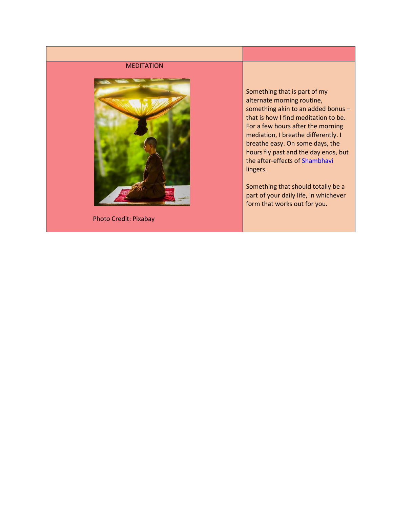#### MEDITATION



Photo Credit: Pixabay

Something that is part of my alternate morning routine, something akin to an added bonus – that is how I find meditation to be. For a few hours after the morning mediation, I breathe differently. I breathe easy. On some days, the hours fly past and the day ends, but the after-effects of [Shambhavi](http://rusticconcoctions.com/shambhavi-diaries-a-prelude/) lingers.

Something that should totally be a part of your daily life, in whichever form that works out for you.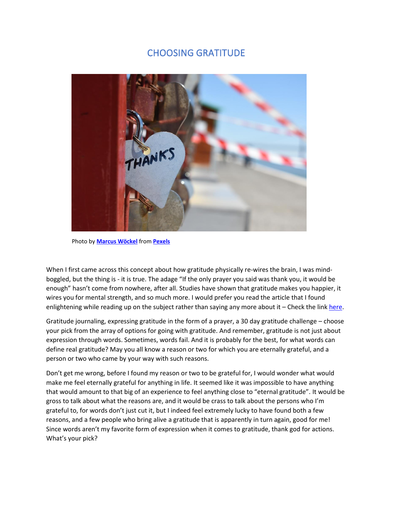## CHOOSING GRATITUDE



Photo by **[Marcus Wöckel](https://www.pexels.com/@thanks?utm_content=attributionCopyText&utm_medium=referral&utm_source=pexels)** from **[Pexels](https://www.pexels.com/photo/silver-colored-heart-lock-bridge-883466/?utm_content=attributionCopyText&utm_medium=referral&utm_source=pexels)**

When I first came across this concept about how gratitude physically re-wires the brain, I was mindboggled, but the thing is - it is true. The adage "If the only prayer you said was thank you, it would be enough" hasn't come from nowhere, after all. Studies have shown that gratitude makes you happier, it wires you for mental strength, and so much more. I would prefer you read the article that I found enlightening while reading up on the subject rather than saying any more about it - Check the lin[k here.](https://greatergood.berkeley.edu/article/item/how_gratitude_changes_you_and_your_brain)

Gratitude journaling, expressing gratitude in the form of a prayer, a 30 day gratitude challenge – choose your pick from the array of options for going with gratitude. And remember, gratitude is not just about expression through words. Sometimes, words fail. And it is probably for the best, for what words can define real gratitude? May you all know a reason or two for which you are eternally grateful, and a person or two who came by your way with such reasons.

Don't get me wrong, before I found my reason or two to be grateful for, I would wonder what would make me feel eternally grateful for anything in life. It seemed like it was impossible to have anything that would amount to that big of an experience to feel anything close to "eternal gratitude". It would be gross to talk about what the reasons are, and it would be crass to talk about the persons who I'm grateful to, for words don't just cut it, but I indeed feel extremely lucky to have found both a few reasons, and a few people who bring alive a gratitude that is apparently in turn again, good for me! Since words aren't my favorite form of expression when it comes to gratitude, thank god for actions. What's your pick?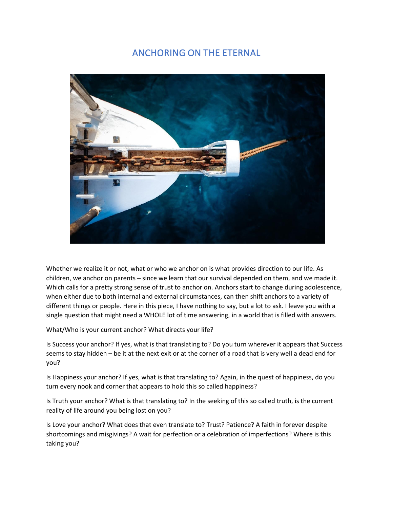## ANCHORING ON THE ETERNAL



Whether we realize it or not, what or who we anchor on is what provides direction to our life. As children, we anchor on parents – since we learn that our survival depended on them, and we made it. Which calls for a pretty strong sense of trust to anchor on. Anchors start to change during adolescence, when either due to both internal and external circumstances, can then shift anchors to a variety of different things or people. Here in this piece, I have nothing to say, but a lot to ask. I leave you with a single question that might need a WHOLE lot of time answering, in a world that is filled with answers.

What/Who is your current anchor? What directs your life?

Is Success your anchor? If yes, what is that translating to? Do you turn wherever it appears that Success seems to stay hidden – be it at the next exit or at the corner of a road that is very well a dead end for you?

Is Happiness your anchor? If yes, what is that translating to? Again, in the quest of happiness, do you turn every nook and corner that appears to hold this so called happiness?

Is Truth your anchor? What is that translating to? In the seeking of this so called truth, is the current reality of life around you being lost on you?

Is Love your anchor? What does that even translate to? Trust? Patience? A faith in forever despite shortcomings and misgivings? A wait for perfection or a celebration of imperfections? Where is this taking you?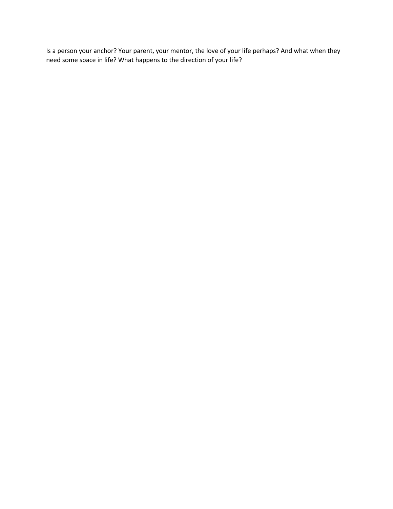Is a person your anchor? Your parent, your mentor, the love of your life perhaps? And what when they need some space in life? What happens to the direction of your life?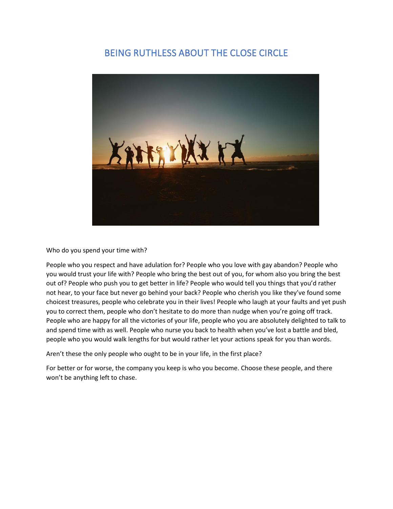## BEING RUTHLESS ABOUT THE CLOSE CIRCLE



Who do you spend your time with?

People who you respect and have adulation for? People who you love with gay abandon? People who you would trust your life with? People who bring the best out of you, for whom also you bring the best out of? People who push you to get better in life? People who would tell you things that you'd rather not hear, to your face but never go behind your back? People who cherish you like they've found some choicest treasures, people who celebrate you in their lives! People who laugh at your faults and yet push you to correct them, people who don't hesitate to do more than nudge when you're going off track. People who are happy for all the victories of your life, people who you are absolutely delighted to talk to and spend time with as well. People who nurse you back to health when you've lost a battle and bled, people who you would walk lengths for but would rather let your actions speak for you than words.

Aren't these the only people who ought to be in your life, in the first place?

For better or for worse, the company you keep is who you become. Choose these people, and there won't be anything left to chase.